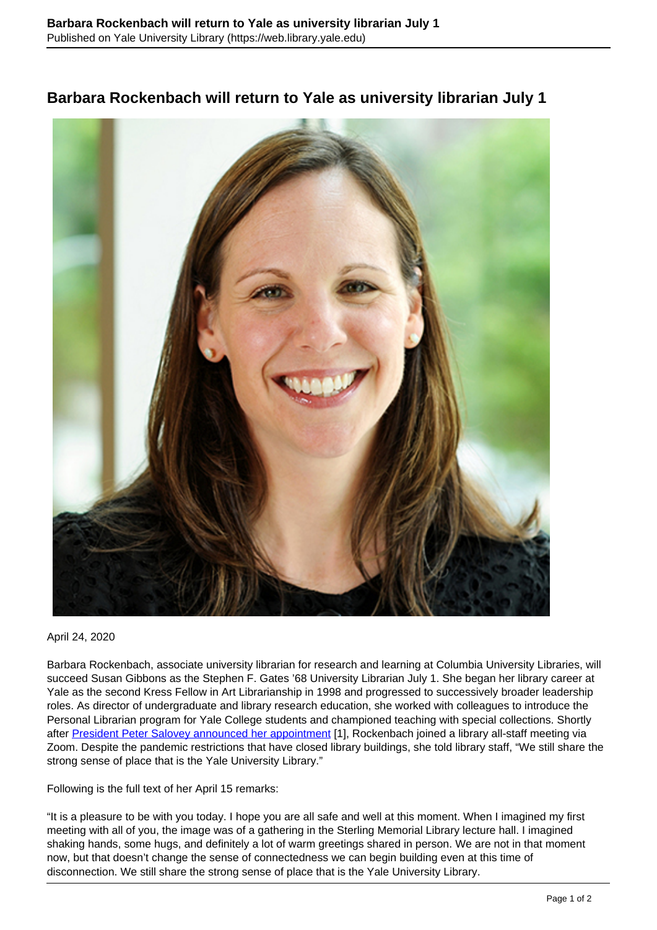

## **Barbara Rockenbach will return to Yale as university librarian July 1**

April 24, 2020

Barbara Rockenbach, associate university librarian for research and learning at Columbia University Libraries, will succeed Susan Gibbons as the Stephen F. Gates '68 University Librarian July 1. She began her library career at Yale as the second Kress Fellow in Art Librarianship in 1998 and progressed to successively broader leadership roles. As director of undergraduate and library research education, she worked with colleagues to introduce the Personal Librarian program for Yale College students and championed teaching with special collections. Shortly after [President Peter Salovey announced her appointment](https://president.yale.edu/announcement-university-librarian) [1], Rockenbach joined a library all-staff meeting via Zoom. Despite the pandemic restrictions that have closed library buildings, she told library staff, "We still share the strong sense of place that is the Yale University Library."

Following is the full text of her April 15 remarks:

"It is a pleasure to be with you today. I hope you are all safe and well at this moment. When I imagined my first meeting with all of you, the image was of a gathering in the Sterling Memorial Library lecture hall. I imagined shaking hands, some hugs, and definitely a lot of warm greetings shared in person. We are not in that moment now, but that doesn't change the sense of connectedness we can begin building even at this time of disconnection. We still share the strong sense of place that is the Yale University Library.